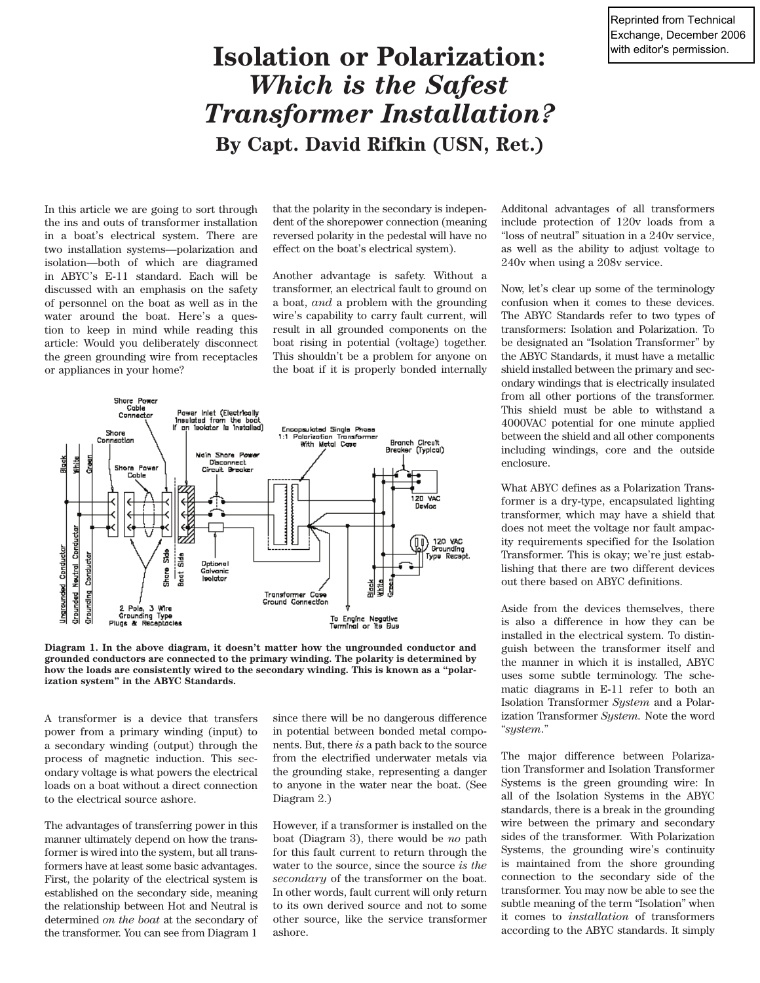Reprinted from Technical Exchange, December 2006 with editor's permission.

## **Isolation or Polarization:**  *Which is the Safest Transformer Installation?* **By Capt. David Rifkin (USN, Ret.)**

In this article we are going to sort through the ins and outs of transformer installation in a boat's electrical system. There are two installation systems—polarization and isolation—both of which are diagramed in ABYC's E-11 standard. Each will be discussed with an emphasis on the safety of personnel on the boat as well as in the water around the boat. Here's a question to keep in mind while reading this article: Would you deliberately disconnect the green grounding wire from receptacles or appliances in your home?

that the polarity in the secondary is independent of the shorepower connection (meaning reversed polarity in the pedestal will have no effect on the boat's electrical system).

Another advantage is safety. Without a transformer, an electrical fault to ground on a boat, *and* a problem with the grounding wire's capability to carry fault current, will result in all grounded components on the boat rising in potential (voltage) together. This shouldn't be a problem for anyone on the boat if it is properly bonded internally



**Diagram 1. In the above diagram, it doesn't matter how the ungrounded conductor and grounded conductors are connected to the primary winding. The polarity is determined by how the loads are consistently wired to the secondary winding. This is known as a "polarization system" in the ABYC Standards.**

A transformer is a device that transfers power from a primary winding (input) to a secondary winding (output) through the process of magnetic induction. This secondary voltage is what powers the electrical loads on a boat without a direct connection to the electrical source ashore.

The advantages of transferring power in this manner ultimately depend on how the transformer is wired into the system, but all transformers have at least some basic advantages. First, the polarity of the electrical system is established on the secondary side, meaning the relationship between Hot and Neutral is determined *on the boat* at the secondary of the transformer. You can see from Diagram 1

since there will be no dangerous difference in potential between bonded metal components. But, there *is* a path back to the source from the electrified underwater metals via the grounding stake, representing a danger to anyone in the water near the boat. (See Diagram 2.)

However, if a transformer is installed on the boat (Diagram 3), there would be *no* path for this fault current to return through the water to the source, since the source *is the secondary* of the transformer on the boat. In other words, fault current will only return to its own derived source and not to some other source, like the service transformer ashore.

Additonal advantages of all transformers include protection of 120v loads from a "loss of neutral" situation in a 240v service, as well as the ability to adjust voltage to 240v when using a 208v service.

Now, let's clear up some of the terminology confusion when it comes to these devices. The ABYC Standards refer to two types of transformers: Isolation and Polarization. To be designated an "Isolation Transformer" by the ABYC Standards, it must have a metallic shield installed between the primary and secondary windings that is electrically insulated from all other portions of the transformer. This shield must be able to withstand a 4000VAC potential for one minute applied between the shield and all other components including windings, core and the outside enclosure.

What ABYC defines as a Polarization Transformer is a dry-type, encapsulated lighting transformer, which may have a shield that does not meet the voltage nor fault ampacity requirements specified for the Isolation Transformer. This is okay; we're just establishing that there are two different devices out there based on ABYC definitions.

Aside from the devices themselves, there is also a difference in how they can be installed in the electrical system. To distinguish between the transformer itself and the manner in which it is installed, ABYC uses some subtle terminology. The schematic diagrams in E-11 refer to both an Isolation Transformer *System* and a Polarization Transformer *System.* Note the word "*system*."

The major difference between Polarization Transformer and Isolation Transformer Systems is the green grounding wire: In all of the Isolation Systems in the ABYC standards, there is a break in the grounding wire between the primary and secondary sides of the transformer. With Polarization Systems, the grounding wire's continuity is maintained from the shore grounding connection to the secondary side of the transformer. You may now be able to see the subtle meaning of the term "Isolation" when it comes to *installation* of transformers according to the ABYC standards. It simply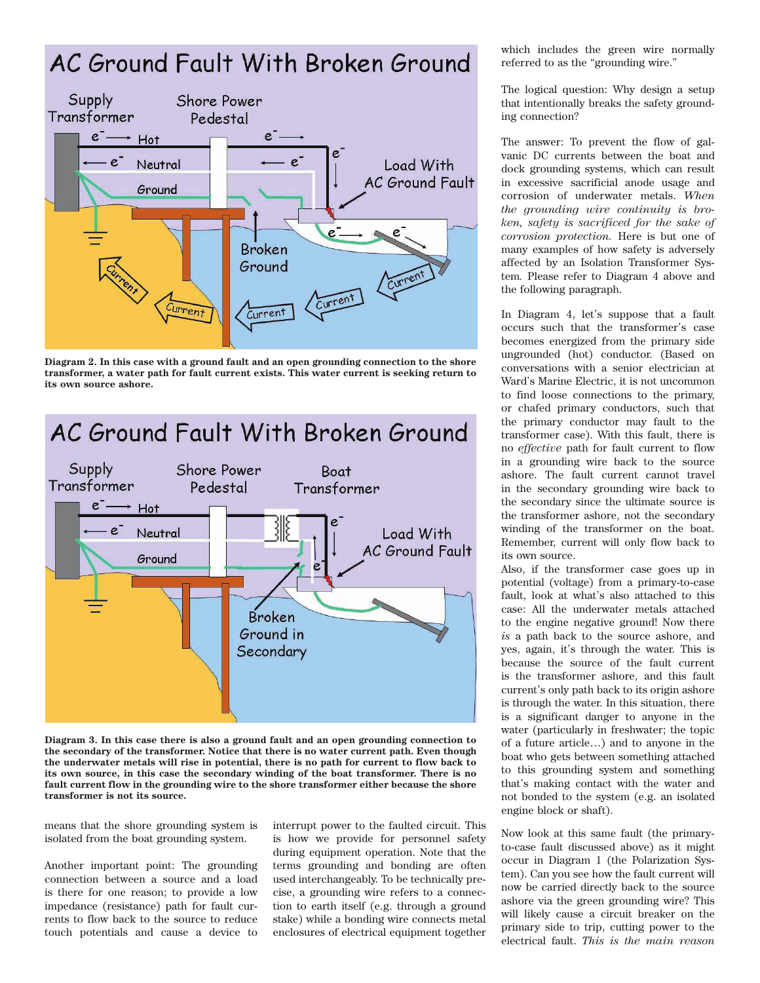## AC Ground Fault With Broken Ground



**Diagram 2. In this case with a ground fault and an open grounding connection to the shore transformer, a water path for fault current exists. This water current is seeking return to its own source ashore.**

AC Ground Fault With Broken Ground



**Diagram 3. In this case there is also a ground fault and an open grounding connection to the secondary of the transformer. Notice that there is no water current path. Even though the underwater metals will rise in potential, there is no path for current to flow back to its own source, in this case the secondary winding of the boat transformer. There is no fault current flow in the grounding wire to the shore transformer either because the shore transformer is not its source.**

means that the shore grounding system is isolated from the boat grounding system.

Another important point: The grounding connection between a source and a load is there for one reason; to provide a low impedance (resistance) path for fault currents to flow back to the source to reduce touch potentials and cause a device to

interrupt power to the faulted circuit. This is how we provide for personnel safety during equipment operation. Note that the terms grounding and bonding are often used interchangeably. To be technically precise, a grounding wire refers to a connection to earth itself (e.g. through a ground stake) while a bonding wire connects metal enclosures of electrical equipment together which includes the green wire normally referred to as the "grounding wire."

The logical question: Why design a setup that intentionally breaks the safety grounding connection?

The answer: To prevent the flow of galvanic DC currents between the boat and dock grounding systems, which can result in excessive sacrificial anode usage and corrosion of underwater metals. *When the grounding wire continuity is broken, safety is sacrificed for the sake of corrosion protection.* Here is but one of many examples of how safety is adversely affected by an Isolation Transformer System*.* Please refer to Diagram 4 above and the following paragraph.

In Diagram 4, let's suppose that a fault occurs such that the transformer's case becomes energized from the primary side ungrounded (hot) conductor. (Based on conversations with a senior electrician at Ward's Marine Electric, it is not uncommon to find loose connections to the primary, or chafed primary conductors, such that the primary conductor may fault to the transformer case). With this fault, there is no *effective* path for fault current to flow in a grounding wire back to the source ashore. The fault current cannot travel in the secondary grounding wire back to the secondary since the ultimate source is the transformer ashore, not the secondary winding of the transformer on the boat. Remember, current will only flow back to its own source.

Also, if the transformer case goes up in potential (voltage) from a primary-to-case fault, look at what's also attached to this case: All the underwater metals attached to the engine negative ground! Now there *is* a path back to the source ashore, and yes, again, it's through the water. This is because the source of the fault current is the transformer ashore, and this fault current's only path back to its origin ashore is through the water. In this situation, there is a significant danger to anyone in the water (particularly in freshwater; the topic of a future article…) and to anyone in the boat who gets between something attached to this grounding system and something that's making contact with the water and not bonded to the system (e.g. an isolated engine block or shaft).

Now look at this same fault (the primaryto-case fault discussed above) as it might occur in Diagram 1 (the Polarization System). Can you see how the fault current will now be carried directly back to the source ashore via the green grounding wire? This will likely cause a circuit breaker on the primary side to trip, cutting power to the electrical fault. *This is the main reason*